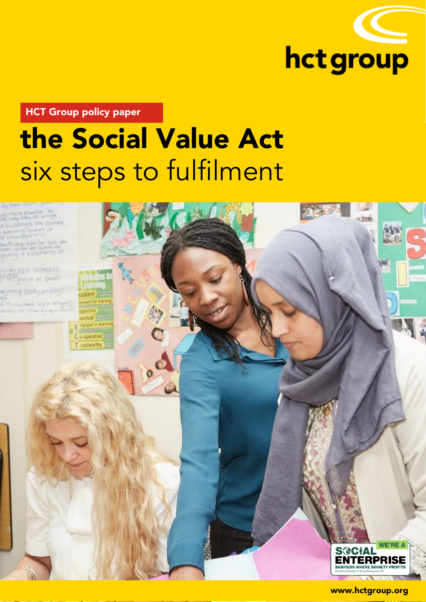

HCT Group policy paper

# the Social Value Act six steps to fulfilment



www.hctgroup.org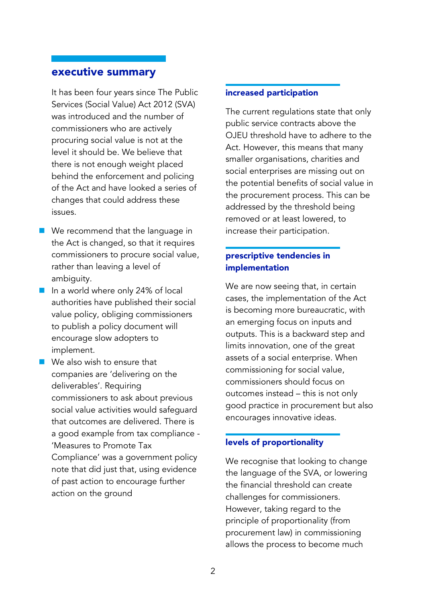# executive summary

It has been four years since The Public Services (Social Value) Act 2012 (SVA) was introduced and the number of commissioners who are actively procuring social value is not at the level it should be. We believe that there is not enough weight placed behind the enforcement and policing of the Act and have looked a series of changes that could address these issues.

- We recommend that the language in the Act is changed, so that it requires commissioners to procure social value, rather than leaving a level of ambiguity.
- In a world where only 24% of local authorities have published their social value policy, obliging commissioners to publish a policy document will encourage slow adopters to implement.
- We also wish to ensure that companies are 'delivering on the deliverables'. Requiring commissioners to ask about previous social value activities would safeguard that outcomes are delivered. There is a good example from tax compliance - 'Measures to Promote Tax Compliance' was a government policy note that did just that, using evidence of past action to encourage further action on the ground

# increased participation

The current regulations state that only public service contracts above the OJEU threshold have to adhere to the Act. However, this means that many smaller organisations, charities and social enterprises are missing out on the potential benefits of social value in the procurement process. This can be addressed by the threshold being removed or at least lowered, to increase their participation.

# prescriptive tendencies in implementation

We are now seeing that, in certain cases, the implementation of the Act is becoming more bureaucratic, with an emerging focus on inputs and outputs. This is a backward step and limits innovation, one of the great assets of a social enterprise. When commissioning for social value, commissioners should focus on outcomes instead – this is not only good practice in procurement but also encourages innovative ideas.

#### levels of proportionality

We recognise that looking to change the language of the SVA, or lowering the financial threshold can create challenges for commissioners. However, taking regard to the principle of proportionality (from procurement law) in commissioning allows the process to become much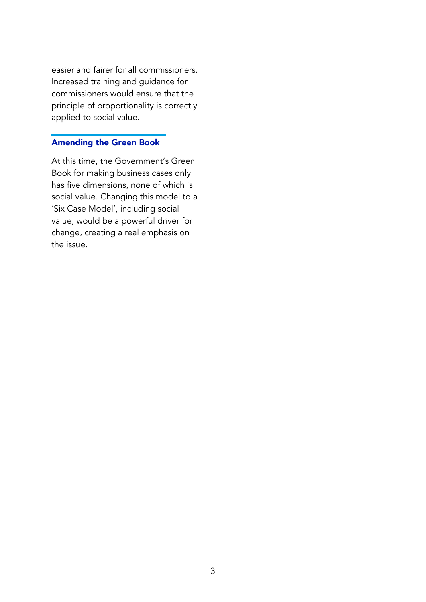easier and fairer for all commissioners. Increased training and guidance for commissioners would ensure that the principle of proportionality is correctly applied to social value.

# Amending the Green Book

At this time, the Government's Green Book for making business cases only has five dimensions, none of which is social value. Changing this model to a 'Six Case Model', including social value, would be a powerful driver for change, creating a real emphasis on the issue.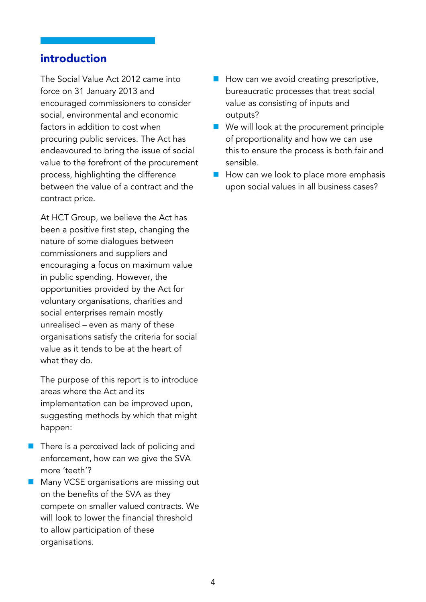# introduction

The Social Value Act 2012 came into force on 31 January 2013 and encouraged commissioners to consider social, environmental and economic factors in addition to cost when procuring public services. The Act has endeavoured to bring the issue of social value to the forefront of the procurement process, highlighting the difference between the value of a contract and the contract price.

At HCT Group, we believe the Act has been a positive first step, changing the nature of some dialogues between commissioners and suppliers and encouraging a focus on maximum value in public spending. However, the opportunities provided by the Act for voluntary organisations, charities and social enterprises remain mostly unrealised – even as many of these organisations satisfy the criteria for social value as it tends to be at the heart of what they do.

The purpose of this report is to introduce areas where the Act and its implementation can be improved upon, suggesting methods by which that might happen:

- There is a perceived lack of policing and enforcement, how can we give the SVA more 'teeth'?
- **Many VCSE organisations are missing out** on the benefits of the SVA as they compete on smaller valued contracts. We will look to lower the financial threshold to allow participation of these organisations.
- How can we avoid creating prescriptive, bureaucratic processes that treat social value as consisting of inputs and outputs?
- We will look at the procurement principle of proportionality and how we can use this to ensure the process is both fair and sensible.
- How can we look to place more emphasis upon social values in all business cases?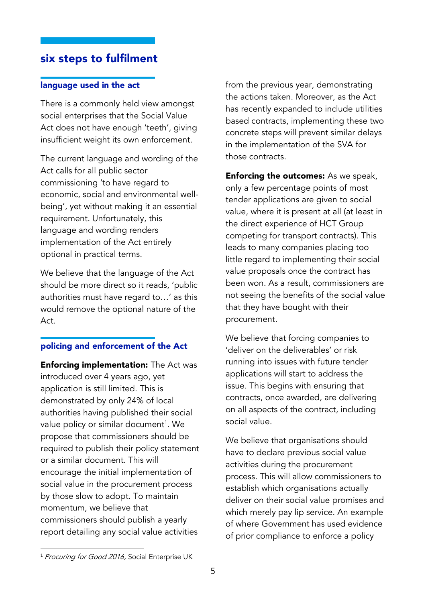# six steps to fulfilment

## language used in the act

There is a commonly held view amongst social enterprises that the Social Value Act does not have enough 'teeth', giving insufficient weight its own enforcement.

The current language and wording of the Act calls for all public sector commissioning 'to have regard to economic, social and environmental wellbeing', yet without making it an essential requirement. Unfortunately, this language and wording renders implementation of the Act entirely optional in practical terms.

We believe that the language of the Act should be more direct so it reads, 'public authorities must have regard to…' as this would remove the optional nature of the Act.

# policing and enforcement of the Act

**Enforcing implementation:** The Act was introduced over 4 years ago, yet application is still limited. This is demonstrated by only 24% of local authorities having published their social value policy or similar document<sup>1</sup>. We propose that commissioners should be required to publish their policy statement or a similar document. This will encourage the initial implementation of social value in the procurement process by those slow to adopt. To maintain momentum, we believe that commissioners should publish a yearly report detailing any social value activities

from the previous year, demonstrating the actions taken. Moreover, as the Act has recently expanded to include utilities based contracts, implementing these two concrete steps will prevent similar delays in the implementation of the SVA for those contracts.

**Enforcing the outcomes:** As we speak, only a few percentage points of most tender applications are given to social value, where it is present at all (at least in the direct experience of HCT Group competing for transport contracts). This leads to many companies placing too little regard to implementing their social value proposals once the contract has been won. As a result, commissioners are not seeing the benefits of the social value that they have bought with their procurement.

We believe that forcing companies to 'deliver on the deliverables' or risk running into issues with future tender applications will start to address the issue. This begins with ensuring that contracts, once awarded, are delivering on all aspects of the contract, including social value.

We believe that organisations should have to declare previous social value activities during the procurement process. This will allow commissioners to establish which organisations actually deliver on their social value promises and which merely pay lip service. An example of where Government has used evidence of prior compliance to enforce a policy

**.** 

<sup>&</sup>lt;sup>1</sup> Procuring for Good 2016, Social Enterprise UK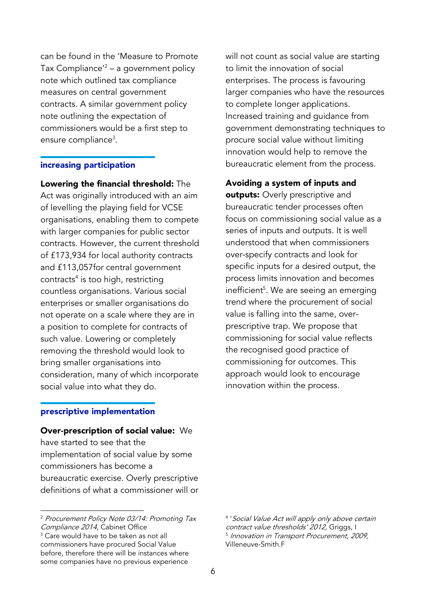can be found in the 'Measure to Promote Tax Compliance'<sup>2</sup> – a government policy note which outlined tax compliance measures on central government contracts. A similar government policy note outlining the expectation of commissioners would be a first step to ensure compliance<sup>3</sup>.

#### increasing participation

Lowering the financial threshold: The Act was originally introduced with an aim of levelling the playing field for VCSE organisations, enabling them to compete with larger companies for public sector contracts. However, the current threshold of £173,934 for local authority contracts and £113,057for central government contracts<sup>4</sup> is too high, restricting countless organisations. Various social enterprises or smaller organisations do not operate on a scale where they are in a position to complete for contracts of such value. Lowering or completely removing the threshold would look to bring smaller organisations into consideration, many of which incorporate social value into what they do.

#### prescriptive implementation

#### Over-prescription of social value: We

have started to see that the implementation of social value by some commissioners has become a bureaucratic exercise. Overly prescriptive definitions of what a commissioner will or will not count as social value are starting to limit the innovation of social enterprises. The process is favouring larger companies who have the resources to complete longer applications. Increased training and guidance from government demonstrating techniques to procure social value without limiting innovation would help to remove the bureaucratic element from the process.

Avoiding a system of inputs and

outputs: Overly prescriptive and bureaucratic tender processes often focus on commissioning social value as a series of inputs and outputs. It is well understood that when commissioners over-specify contracts and look for specific inputs for a desired output, the process limits innovation and becomes inefficient<sup>5</sup>. We are seeing an emerging trend where the procurement of social value is falling into the same, overprescriptive trap. We propose that commissioning for social value reflects the recognised good practice of commissioning for outcomes. This approach would look to encourage innovation within the process.

**<sup>.</sup>** <sup>2</sup> Procurement Policy Note 03/14: Promoting Tax Compliance 2014, Cabinet Office <sup>3</sup> Care would have to be taken as not all commissioners have procured Social Value before, therefore there will be instances where some companies have no previous experience

<sup>4</sup> 'Social Value Act will apply only above certain contract value thresholds' 2012, Griggs, I 5 Innovation in Transport Procurement, 2009, Villeneuve-Smith.F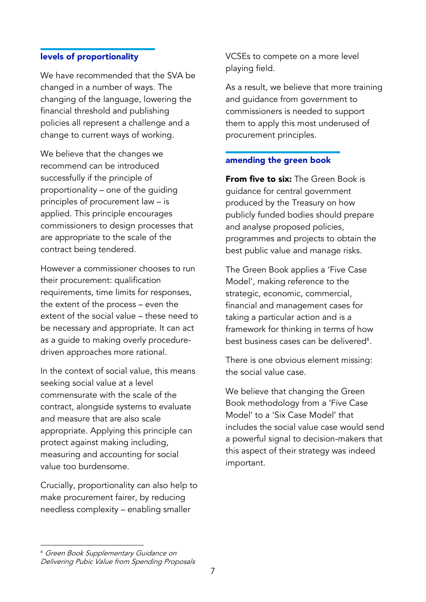## levels of proportionality

We have recommended that the SVA be changed in a number of ways. The changing of the language, lowering the financial threshold and publishing policies all represent a challenge and a change to current ways of working.

We believe that the changes we recommend can be introduced successfully if the principle of proportionality – one of the guiding principles of procurement law – is applied. This principle encourages commissioners to design processes that are appropriate to the scale of the contract being tendered.

However a commissioner chooses to run their procurement: qualification requirements, time limits for responses, the extent of the process – even the extent of the social value – these need to be necessary and appropriate. It can act as a guide to making overly proceduredriven approaches more rational.

In the context of social value, this means seeking social value at a level commensurate with the scale of the contract, alongside systems to evaluate and measure that are also scale appropriate. Applying this principle can protect against making including, measuring and accounting for social value too burdensome.

Crucially, proportionality can also help to make procurement fairer, by reducing needless complexity – enabling smaller

VCSEs to compete on a more level playing field.

As a result, we believe that more training and guidance from government to commissioners is needed to support them to apply this most underused of procurement principles.

## amending the green book

**From five to six:** The Green Book is guidance for central government produced by the Treasury on how publicly funded bodies should prepare and analyse proposed policies, programmes and projects to obtain the best public value and manage risks.

The Green Book applies a 'Five Case Model', making reference to the strategic, economic, commercial, financial and management cases for taking a particular action and is a framework for thinking in terms of how best business cases can be delivered<sup>6</sup>.

There is one obvious element missing: the social value case.

We believe that changing the Green Book methodology from a 'Five Case Model' to a 'Six Case Model' that includes the social value case would send a powerful signal to decision-makers that this aspect of their strategy was indeed important.

**.** 

<sup>6</sup> Green Book Supplementary Guidance on Delivering Pubic Value from Spending Proposals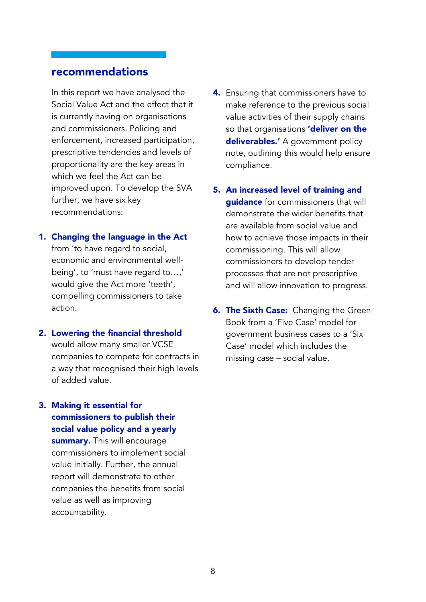# recommendations

In this report we have analysed the Social Value Act and the effect that it is currently having on organisations and commissioners. Policing and enforcement, increased participation, prescriptive tendencies and levels of proportionality are the key areas in which we feel the Act can be improved upon. To develop the SVA further, we have six key recommendations:

## 1. Changing the language in the Act

from 'to have regard to social, economic and environmental wellbeing', to 'must have regard to…,' would give the Act more 'teeth', compelling commissioners to take action.

#### 2. Lowering the financial threshold

would allow many smaller VCSE companies to compete for contracts in a way that recognised their high levels of added value.

# 3. Making it essential for commissioners to publish their

social value policy and a yearly summary. This will encourage commissioners to implement social value initially. Further, the annual report will demonstrate to other companies the benefits from social value as well as improving accountability.

- 4. Ensuring that commissioners have to make reference to the previous social value activities of their supply chains so that organisations 'deliver on the deliverables.' A government policy note, outlining this would help ensure compliance.
- 5. An increased level of training and quidance for commissioners that will demonstrate the wider benefits that are available from social value and how to achieve those impacts in their commissioning. This will allow commissioners to develop tender processes that are not prescriptive and will allow innovation to progress.
- **6. The Sixth Case:** Changing the Green Book from a 'Five Case' model for government business cases to a 'Six Case' model which includes the missing case – social value.